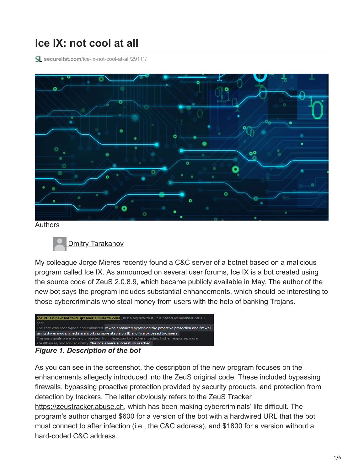## **Ice IX: not cool at all**

**securelist.com**[/ice-ix-not-cool-at-all/29111/](https://securelist.com/ice-ix-not-cool-at-all/29111/)



Authors



My colleague Jorge Mieres recently found a C&C server of a botnet based on a malicious program called Ice IX. As announced on several user forums, Ice IX is a bot created using the source code of ZeuS 2.0.8.9, which became publicly available in May. The author of the new bot says the program includes substantial enhancements, which should be interesting to those cybercriminals who steal money from users with the help of banking Trojans.



## *Figure 1. Description of the bot*

As you can see in the screenshot, the description of the new program focuses on the enhancements allegedly introduced into the ZeuS original code. These included bypassing firewalls, bypassing proactive protection provided by security products, and protection from detection by trackers. The latter obviously refers to the ZeuS Tracker [https://zeustracker.abuse.ch](https://zeustracker.abuse.ch/), which has been making cybercriminals' life difficult. The program's author charged \$600 for a version of the bot with a hardwired URL that the bot must connect to after infection (i.e., the C&C address), and \$1800 for a version without a hard-coded C&C address.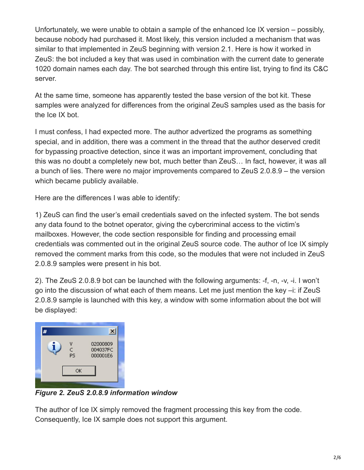Unfortunately, we were unable to obtain a sample of the enhanced Ice IX version – possibly, because nobody had purchased it. Most likely, this version included a mechanism that was similar to that implemented in ZeuS beginning with version 2.1. Here is how it worked in ZeuS: the bot included a key that was used in combination with the current date to generate 1020 domain names each day. The bot searched through this entire list, trying to find its C&C server.

At the same time, someone has apparently tested the base version of the bot kit. These samples were analyzed for differences from the original ZeuS samples used as the basis for the Ice IX bot.

I must confess, I had expected more. The author advertized the programs as something special, and in addition, there was a comment in the thread that the author deserved credit for bypassing proactive detection, since it was an important improvement, concluding that this was no doubt a completely new bot, much better than ZeuS… In fact, however, it was all a bunch of lies. There were no major improvements compared to ZeuS 2.0.8.9 – the version which became publicly available.

Here are the differences I was able to identify:

1) ZeuS can find the user's email credentials saved on the infected system. The bot sends any data found to the botnet operator, giving the cybercriminal access to the victim's mailboxes. However, the code section responsible for finding and processing email credentials was commented out in the original ZeuS source code. The author of Ice IX simply removed the comment marks from this code, so the modules that were not included in ZeuS 2.0.8.9 samples were present in his bot.

2). The ZeuS 2.0.8.9 bot can be launched with the following arguments: -f, -n, -v, -i. I won't go into the discussion of what each of them means. Let me just mention the key –i: if ZeuS 2.0.8.9 sample is launched with this key, a window with some information about the bot will be displayed:



*Figure 2. ZeuS 2.0.8.9 information window*

The author of Ice IX simply removed the fragment processing this key from the code. Consequently, Ice IX sample does not support this argument.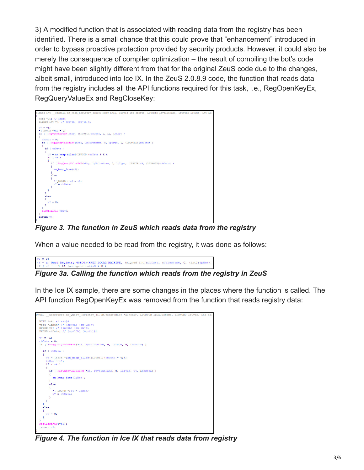3) A modified function that is associated with reading data from the registry has been identified. There is a small chance that this could prove that "enhancement" introduced in order to bypass proactive protection provided by security products. However, it could also be merely the consequence of compiler optimization – the result of compiling the bot's code might have been slightly different from that for the original ZeuS code due to the changes, albeit small, introduced into Ice IX. In the ZeuS 2.0.8.9 code, the function that reads data from the registry includes all the API functions required for this task, i.e., RegOpenKeyEx, RegQueryValueEx and RegCloseKey:



*Figure 3. The function in ZeuS which reads data from the registry*

When a value needed to be read from the registry, it was done as follows:



In the Ice IX sample, there are some changes in the places where the function is called. The API function RegOpenKeyEx was removed from the function that reads registry data:

RD \_userpurge an\_Query\_Registry\_4170D7<eax>(HKEY \*a1<edi>, LPCWSTR lpValueName, LPDWORD lpType, int BYTE \*v4; // eax@4<br>void \*lpMem; // [sp+8h] [bp-Ch]@4<br>DWORD v7; // [sp+Ch] [bp-8h]@1<br>DWORD cbData; // [sp+10h] [bp-4h]@1 - 0: if ( !RegQueryValueExW(\*a1, lpValueName, 0, lpType, 0, &cbData) ) if ( cbData )  $v4 = (BYTE *)an\_heap\_alloc((LEVOLD)(cbData + 4));$  $\begin{array}{ll}\n\text{1pMem} & = v4; \\
\text{if} & (v4)\n\end{array}$ if (  $RegQueryValueExW(*a1, 1pValueName, 0, 1pType, v4, 4cbbata)$  )  $\tt{an\_heap\_free}$  (1pMem) ;  $e$ lse {<br>  $*(\text{_DWORD *})a4 = 1pMem;$ <br> $v7 = cbData;$ }  $\overline{\mathbf{1}}$ .<br>else  $v7 = 0;$  $\bar{Y}$ gCloseKey(\*a1); return  $v7$ ;

*Figure 4. The function in Ice IX that reads data from registry*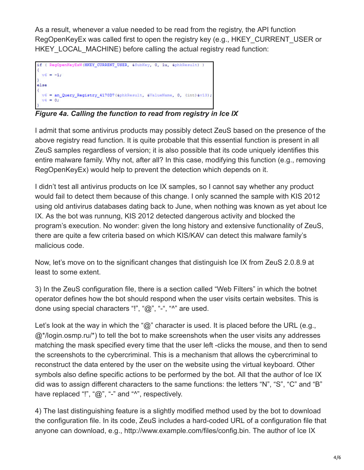As a result, whenever a value needed to be read from the registry, the API function RegOpenKeyEx was called first to open the registry key (e.g., HKEY\_CURRENT\_USER or HKEY\_LOCAL\_MACHINE) before calling the actual registry read function:

```
if ( RegOpenKeyExW(HKEY_CURRENT_USER, &SubKey, 0, 1u, &phkResult) )
 v6 = -1;else
  v6 = an_Query\_Registry_4170D7(6phkResult, 6ValueName, 0, (int)6v13);v4 = 0:
```
*Figure 4a. Calling the function to read from registry in Ice IX*

I admit that some antivirus products may possibly detect ZeuS based on the presence of the above registry read function. It is quite probable that this essential function is present in all ZeuS samples regardless of version; it is also possible that its code uniquely identifies this entire malware family. Why not, after all? In this case, modifying this function (e.g., removing RegOpenKeyEx) would help to prevent the detection which depends on it.

I didn't test all antivirus products on Ice IX samples, so I cannot say whether any product would fail to detect them because of this change. I only scanned the sample with KIS 2012 using old antivirus databases dating back to June, when nothing was known as yet about Ice IX. As the bot was runnung, KIS 2012 detected dangerous activity and blocked the program's execution. No wonder: given the long history and extensive functionality of ZeuS, there are quite a few criteria based on which KIS/KAV can detect this malware family's malicious code.

Now, let's move on to the significant changes that distinguish Ice IX from ZeuS 2.0.8.9 at least to some extent.

3) In the ZeuS configuration file, there is a section called "Web Filters" in which the botnet operator defines how the bot should respond when the user visits certain websites. This is done using special characters "!", "@", "-", "^" are used.

Let's look at the way in which the "@" character is used. It is placed before the URL (e.g.,  $@^*$ /login.osmp.ru/\*) to tell the bot to make screenshots when the user visits any addresses matching the mask specified every time that the user left -clicks the mouse, and then to send the screenshots to the cybercriminal. This is a mechanism that allows the cybercriminal to reconstruct the data entered by the user on the website using the virtual keyboard. Other symbols also define specific actions to be performed by the bot. All that the author of Ice IX did was to assign different characters to the same functions: the letters "N", "S", "C" and "B" have replaced "!", "@", "-" and "^", respectively.

4) The last distinguishing feature is a slightly modified method used by the bot to download the configuration file. In its code, ZeuS includes a hard-coded URL of a configuration file that anyone can download, e.g., http://www.example.com/files/config.bin. The author of Ice IX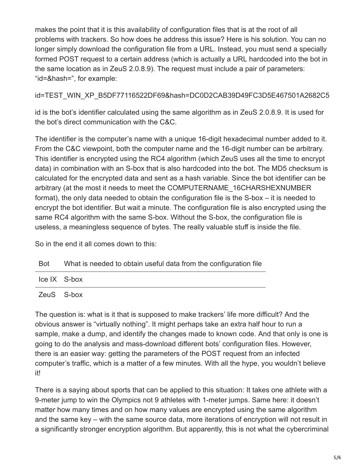makes the point that it is this availability of configuration files that is at the root of all problems with trackers. So how does he address this issue? Here is his solution. You can no longer simply download the configuration file from a URL. Instead, you must send a specially formed POST request to a certain address (which is actually a URL hardcoded into the bot in the same location as in ZeuS 2.0.8.9). The request must include a pair of parameters: "id=&hash=", for example:

id=TEST\_WIN\_XP\_B5DF77116522DF69&hash=DC0D2CAB39D49FC3D5E467501A2682C5

id is the bot's identifier calculated using the same algorithm as in ZeuS 2.0.8.9. It is used for the bot's direct communication with the C&C.

The identifier is the computer's name with a unique 16-digit hexadecimal number added to it. From the C&C viewpoint, both the computer name and the 16-digit number can be arbitrary. This identifier is encrypted using the RC4 algorithm (which ZeuS uses all the time to encrypt data) in combination with an S-box that is also hardcoded into the bot. The MD5 checksum is calculated for the encrypted data and sent as a hash variable. Since the bot identifier can be arbitrary (at the most it needs to meet the COMPUTERNAME\_16CHARSHEXNUMBER format), the only data needed to obtain the configuration file is the S-box – it is needed to encrypt the bot identifier. But wait a minute. The configuration file is also encrypted using the same RC4 algorithm with the same S-box. Without the S-box, the configuration file is useless, a meaningless sequence of bytes. The really valuable stuff is inside the file.

So in the end it all comes down to this:

| Bot | What is needed to obtain useful data from the configuration file |
|-----|------------------------------------------------------------------|
|     |                                                                  |

| Ice IX S-box                              |  |  |
|-------------------------------------------|--|--|
| $\sim$ $\sim$ $\sim$ $\sim$ $\sim$ $\sim$ |  |  |

ZeuS S-box

The question is: what is it that is supposed to make trackers' life more difficult? And the obvious answer is "virtually nothing". It might perhaps take an extra half hour to run a sample, make a dump, and identify the changes made to known code. And that only is one is going to do the analysis and mass-download different bots' configuration files. However, there is an easier way: getting the parameters of the POST request from an infected computer's traffic, which is a matter of a few minutes. With all the hype, you wouldn't believe it!

There is a saying about sports that can be applied to this situation: It takes one athlete with a 9-meter jump to win the Olympics not 9 athletes with 1-meter jumps. Same here: it doesn't matter how many times and on how many values are encrypted using the same algorithm and the same key – with the same source data, more iterations of encryption will not result in a significantly stronger encryption algorithm. But apparently, this is not what the cybercriminal